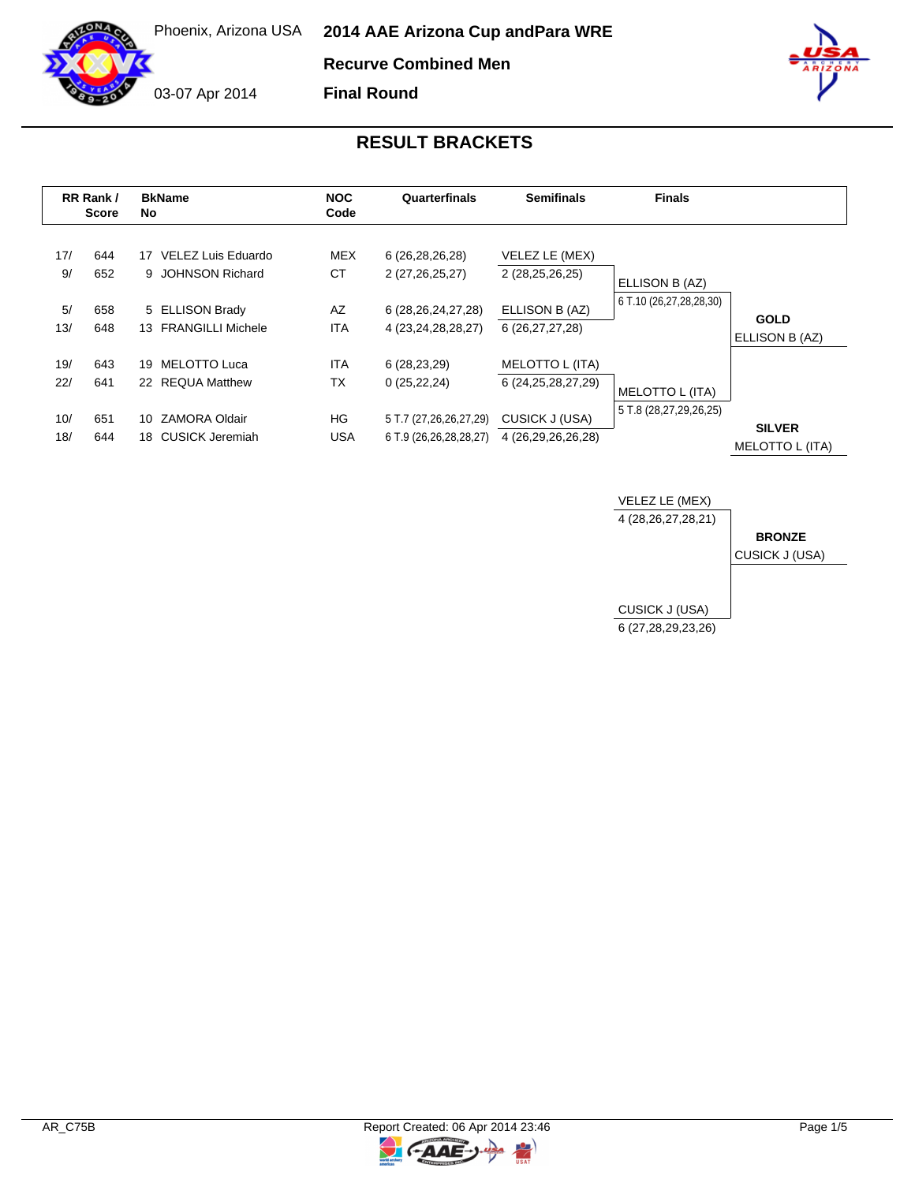**Recurve Combined Men**

**Final Round**

03-07 Apr 2014



| RR Rank /<br><b>Score</b> |            | <b>BkName</b><br>No.                          | <b>NOC</b><br>Code      | Quarterfinals                                    | <b>Semifinals</b>                         | <b>Finals</b>           |                                  |
|---------------------------|------------|-----------------------------------------------|-------------------------|--------------------------------------------------|-------------------------------------------|-------------------------|----------------------------------|
| 17/<br>9/                 | 644<br>652 | VELEZ Luis Eduardo<br>17<br>9 JOHNSON Richard | MEX<br>СT               | 6 (26,28,26,28)<br>2 (27,26,25,27)               | VELEZ LE (MEX)<br>2 (28,25,26,25)         | ELLISON B (AZ)          |                                  |
| 5/<br>13/                 | 658<br>648 | 5 ELLISON Brady<br>13 FRANGILLI Michele       | AZ<br><b>ITA</b>        | 6 (28, 26, 24, 27, 28)<br>4 (23,24,28,28,27)     | ELLISON B (AZ)<br>6 (26,27,27,28)         | 6 T.10 (26,27,28,28,30) | <b>GOLD</b><br>ELLISON B (AZ)    |
| 19/<br>22/                | 643<br>641 | 19 MELOTTO Luca<br>22 REQUA Matthew           | <b>ITA</b><br><b>TX</b> | 6 (28,23,29)<br>0(25, 22, 24)                    | MELOTTO L (ITA)<br>6 (24, 25, 28, 27, 29) | MELOTTO L (ITA)         |                                  |
| 10/<br>18/                | 651<br>644 | ZAMORA Oldair<br>10<br>18 CUSICK Jeremiah     | HG<br><b>USA</b>        | 5 T.7 (27,26,26,27,29)<br>6 T.9 (26,26,28,28,27) | CUSICK J (USA)<br>4 (26,29,26,26,28)      | 5 T.8 (28,27,29,26,25)  | <b>SILVER</b><br>MELOTTO L (ITA) |



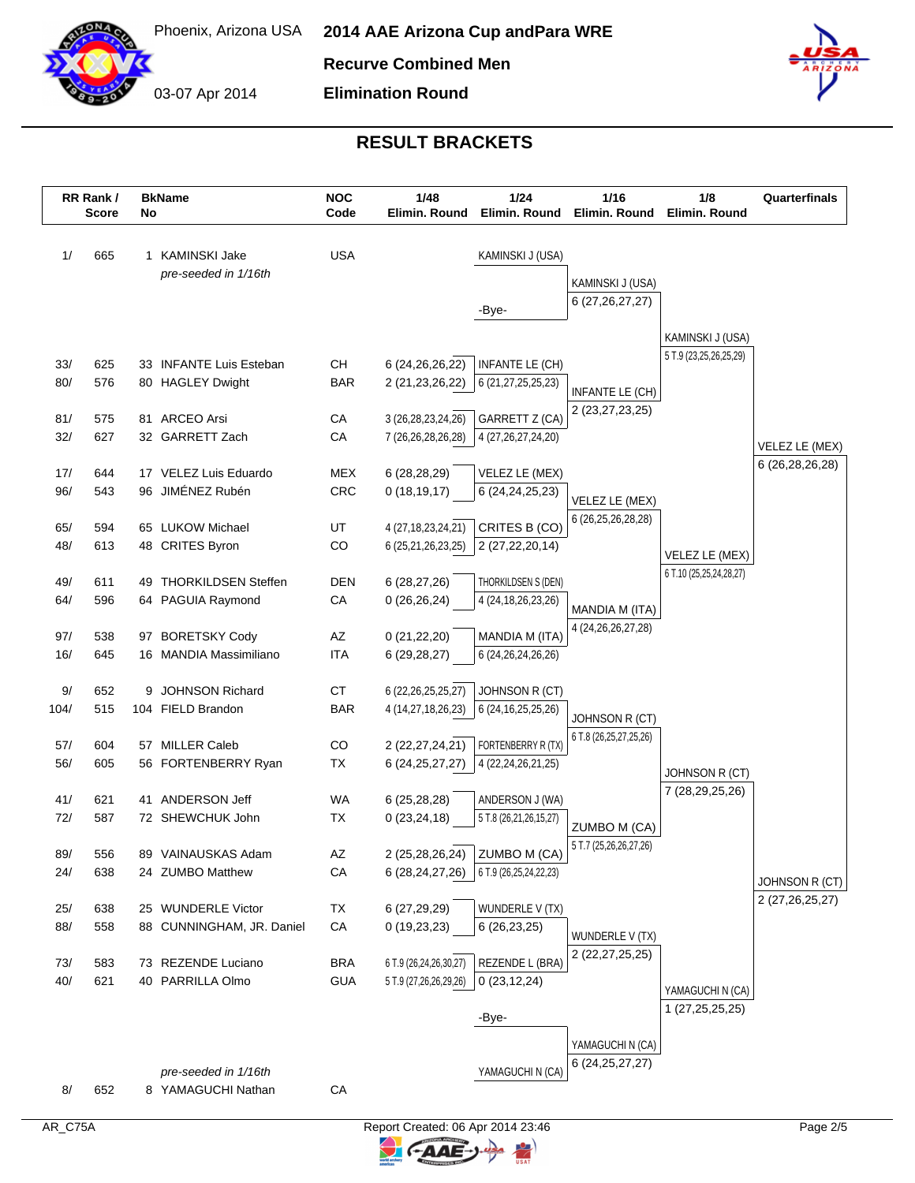

**Recurve Combined Men**

03-07 Apr 2014 **Elimination Round**



|            | RR Rank /<br><b>Score</b> |  | <b>BkName</b><br>No                       |                   | <b>NOC</b><br>1/48<br>1/24<br>Code<br>Elimin. Round |                                                     | Elimin, Round                          | 1/16<br>Elimin. Round   | 1/8<br>Elimin. Round | Quarterfinals |
|------------|---------------------------|--|-------------------------------------------|-------------------|-----------------------------------------------------|-----------------------------------------------------|----------------------------------------|-------------------------|----------------------|---------------|
| 1/         | 665                       |  | 1 KAMINSKI Jake                           | <b>USA</b>        |                                                     | KAMINSKI J (USA)                                    |                                        |                         |                      |               |
|            |                           |  | pre-seeded in 1/16th                      |                   |                                                     |                                                     |                                        |                         |                      |               |
|            |                           |  |                                           |                   |                                                     |                                                     | KAMINSKI J (USA)<br>6 (27, 26, 27, 27) |                         |                      |               |
|            |                           |  |                                           |                   |                                                     | -Bye-                                               |                                        |                         |                      |               |
|            |                           |  |                                           |                   |                                                     |                                                     |                                        | KAMINSKI J (USA)        |                      |               |
| 33/        | 625                       |  | 33 INFANTE Luis Esteban                   | CН                | 6 (24, 26, 26, 22)                                  | INFANTE LE (CH)                                     |                                        | 5 T.9 (23,25,26,25,29)  |                      |               |
| 80/        | 576                       |  | 80 HAGLEY Dwight                          | <b>BAR</b>        | 2 (21, 23, 26, 22)                                  | 6 (21,27,25,25,23)                                  |                                        |                         |                      |               |
|            |                           |  |                                           |                   |                                                     |                                                     | INFANTE LE (CH)                        |                         |                      |               |
| 81/        | 575                       |  | 81 ARCEO Arsi                             | CA                | 3 (26,28,23,24,26)                                  | GARRETT Z (CA)                                      | 2 (23, 27, 23, 25)                     |                         |                      |               |
| 32/        | 627                       |  | 32 GARRETT Zach                           | CA                | 7 (26,26,28,26,28)                                  | 4 (27, 26, 27, 24, 20)                              |                                        |                         | VELEZ LE (MEX)       |               |
|            |                           |  |                                           |                   |                                                     |                                                     |                                        |                         | 6 (26,28,26,28)      |               |
| 17/<br>96/ | 644<br>543                |  | 17 VELEZ Luis Eduardo<br>96 JIMÉNEZ Rubén | <b>MEX</b><br>CRC | 6(28, 28, 29)<br>0(18, 19, 17)                      | VELEZ LE (MEX)<br>6 (24, 24, 25, 23)                |                                        |                         |                      |               |
|            |                           |  |                                           |                   |                                                     |                                                     | VELEZ LE (MEX)                         |                         |                      |               |
| 65/        | 594                       |  | 65 LUKOW Michael                          | UT                | 4 (27, 18, 23, 24, 21)                              | CRITES B (CO)                                       | 6 (26,25,26,28,28)                     |                         |                      |               |
| 48/        | 613                       |  | 48 CRITES Byron                           | CO                | 6 (25,21,26,23,25)                                  | 2 (27, 22, 20, 14)                                  |                                        | VELEZ LE (MEX)          |                      |               |
|            |                           |  |                                           |                   |                                                     |                                                     |                                        | 6 T.10 (25,25,24,28,27) |                      |               |
| 49/        | 611                       |  | 49 THORKILDSEN Steffen                    | <b>DEN</b>        | 6(28, 27, 26)                                       | THORKILDSEN S (DEN)                                 |                                        |                         |                      |               |
| 64/        | 596                       |  | 64 PAGUIA Raymond                         | CA                | 0(26,26,24)                                         | 4 (24, 18, 26, 23, 26)                              | MANDIA M (ITA)                         |                         |                      |               |
| 97/        | 538                       |  | 97 BORETSKY Cody                          | AZ                | 0(21,22,20)                                         | MANDIA M (ITA)                                      | 4 (24, 26, 26, 27, 28)                 |                         |                      |               |
| 16/        | 645                       |  | 16 MANDIA Massimiliano                    | <b>ITA</b>        | 6(29, 28, 27)                                       | 6 (24, 26, 24, 26, 26)                              |                                        |                         |                      |               |
|            |                           |  |                                           |                   |                                                     |                                                     |                                        |                         |                      |               |
| 9/         | 652                       |  | 9 JOHNSON Richard                         | <b>CT</b>         | 6 (22, 26, 25, 25, 27)                              | JOHNSON R (CT)                                      |                                        |                         |                      |               |
| 104/       | 515                       |  | 104 FIELD Brandon                         | <b>BAR</b>        | 4 (14,27,18,26,23)                                  | 6 (24, 16, 25, 25, 26)                              | JOHNSON R (CT)                         |                         |                      |               |
| 57/        | 604                       |  | 57 MILLER Caleb                           | CO                | 2 (22, 27, 24, 21)                                  | FORTENBERRY R (TX)                                  | 6 T.8 (26,25,27,25,26)                 |                         |                      |               |
| 56/        | 605                       |  | 56 FORTENBERRY Ryan                       | ТX                | 6 (24, 25, 27, 27)                                  | 4 (22, 24, 26, 21, 25)                              |                                        |                         |                      |               |
|            |                           |  |                                           |                   |                                                     |                                                     |                                        | JOHNSON R (CT)          |                      |               |
| 41/        | 621                       |  | 41 ANDERSON Jeff                          | WA                | 6(25, 28, 28)                                       | ANDERSON J (WA)                                     |                                        | 7 (28,29,25,26)         |                      |               |
| 72/        | 587                       |  | 72 SHEWCHUK John                          | <b>TX</b>         | 0(23, 24, 18)                                       | 5 T.8 (26,21,26,15,27)                              | ZUMBO M (CA)                           |                         |                      |               |
|            |                           |  |                                           |                   |                                                     | 2 (25,28,26,24) ZUMBO M (CA)                        | 5 T.7 (25,26,26,27,26)                 |                         |                      |               |
| 89/<br>24/ | 556<br>638                |  | 89 VAINAUSKAS Adam<br>24 ZUMBO Matthew    | AZ<br>CA          |                                                     | 6 $(28, 24, 27, 26)$   6 T.9 $(26, 25, 24, 22, 23)$ |                                        |                         |                      |               |
|            |                           |  |                                           |                   |                                                     |                                                     |                                        |                         | JOHNSON R (CT)       |               |
| 25/        | 638                       |  | 25 WUNDERLE Victor                        | TX                | 6 (27,29,29)                                        | WUNDERLE V (TX)                                     |                                        |                         | 2 (27,26,25,27)      |               |
| 88/        | 558                       |  | 88 CUNNINGHAM, JR. Daniel                 | CA                | 0(19,23,23)                                         | 6(26, 23, 25)                                       | WUNDERLE V (TX)                        |                         |                      |               |
|            |                           |  |                                           |                   |                                                     |                                                     | 2 (22, 27, 25, 25)                     |                         |                      |               |
| 73/        | 583                       |  | 73 REZENDE Luciano<br>40 PARRILLA Olmo    | <b>BRA</b>        | 6 T.9 (26,24,26,30,27)                              | REZENDE L (BRA)                                     |                                        |                         |                      |               |
| 40/        | 621                       |  |                                           | <b>GUA</b>        | 5 T.9 (27,26,26,29,26)                              | 0(23, 12, 24)                                       |                                        | YAMAGUCHI N (CA)        |                      |               |
|            |                           |  |                                           |                   |                                                     | -Bye-                                               |                                        | 1 (27, 25, 25, 25)      |                      |               |
|            |                           |  |                                           |                   |                                                     |                                                     |                                        |                         |                      |               |
|            |                           |  |                                           |                   |                                                     |                                                     | YAMAGUCHI N (CA)<br>6 (24, 25, 27, 27) |                         |                      |               |
|            |                           |  | pre-seeded in 1/16th                      |                   |                                                     | YAMAGUCHI N (CA)                                    |                                        |                         |                      |               |
| 8/         | 652                       |  | 8 YAMAGUCHI Nathan                        | CA                |                                                     |                                                     |                                        |                         |                      |               |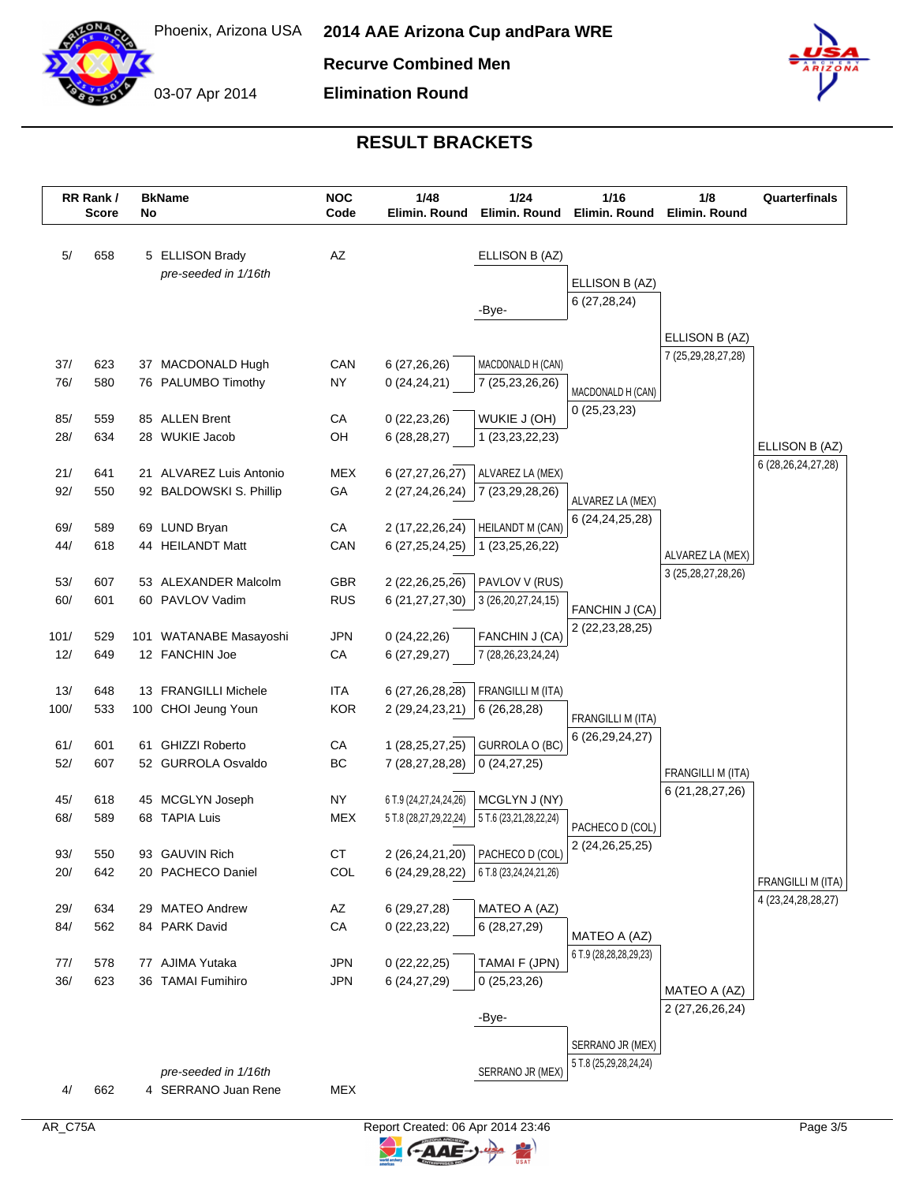

03-07 Apr 2014

**Recurve Combined Men**

**Elimination Round**



|             | RR Rank /<br><b>Score</b> | No | <b>BkName</b>                               | <b>NOC</b><br>Code       | 1/48<br>Elimin, Round                 | 1/24<br>Elimin, Round                                                            | 1/16<br>Elimin. Round  | 1/8<br>Elimin. Round | Quarterfinals          |
|-------------|---------------------------|----|---------------------------------------------|--------------------------|---------------------------------------|----------------------------------------------------------------------------------|------------------------|----------------------|------------------------|
| 5/          | 658                       |    | 5 ELLISON Brady                             | AZ                       |                                       | ELLISON B (AZ)                                                                   |                        |                      |                        |
|             |                           |    | pre-seeded in 1/16th                        |                          |                                       |                                                                                  | ELLISON B (AZ)         |                      |                        |
|             |                           |    |                                             |                          |                                       |                                                                                  | 6(27, 28, 24)          |                      |                        |
|             |                           |    |                                             |                          |                                       | -Bye-                                                                            |                        |                      |                        |
|             |                           |    |                                             |                          |                                       |                                                                                  |                        | ELLISON B (AZ)       |                        |
| 37/         | 623                       |    | 37 MACDONALD Hugh                           | CAN                      | 6(27, 26, 26)                         | MACDONALD H (CAN)                                                                |                        | 7 (25,29,28,27,28)   |                        |
| 76/         | 580                       |    | 76 PALUMBO Timothy                          | <b>NY</b>                | 0(24,24,21)                           | 7 (25,23,26,26)                                                                  | MACDONALD H (CAN)      |                      |                        |
|             |                           |    |                                             |                          |                                       |                                                                                  | 0(25, 23, 23)          |                      |                        |
| 85/<br>28/  | 559<br>634                |    | 85 ALLEN Brent<br>28 WUKIE Jacob            | CA<br>OH                 | 0(22, 23, 26)<br>6(28, 28, 27)        | WUKIE J (OH)<br>1 (23, 23, 22, 23)                                               |                        |                      |                        |
|             |                           |    |                                             |                          |                                       |                                                                                  |                        |                      | ELLISON B (AZ)         |
| 21/         | 641                       |    | 21 ALVAREZ Luis Antonio                     | <b>MEX</b>               | 6 (27,27,26,27)                       | ALVAREZ LA (MEX)                                                                 |                        |                      | 6 (28, 26, 24, 27, 28) |
| 92/         | 550                       |    | 92 BALDOWSKI S. Phillip                     | GA                       | 2 (27,24,26,24)                       | 7 (23,29,28,26)                                                                  | ALVAREZ LA (MEX)       |                      |                        |
|             |                           |    |                                             |                          |                                       |                                                                                  | 6 (24,24,25,28)        |                      |                        |
| 69/<br>44/  | 589<br>618                |    | 69 LUND Bryan<br>44 HEILANDT Matt           | CA<br>CAN                | 2 (17,22,26,24)<br>6 (27, 25, 24, 25) | <b>HEILANDT M (CAN)</b><br>1 (23, 25, 26, 22)                                    |                        |                      |                        |
|             |                           |    |                                             |                          |                                       |                                                                                  |                        | ALVAREZ LA (MEX)     |                        |
| 53/         | 607                       |    | 53 ALEXANDER Malcolm                        | GBR                      | 2 (22, 26, 25, 26)                    | PAVLOV V (RUS)                                                                   |                        | 3 (25,28,27,28,26)   |                        |
| 60/         | 601                       |    | 60 PAVLOV Vadim                             | <b>RUS</b>               | 6 (21,27,27,30)                       | 3 (26,20,27,24,15)                                                               | FANCHIN J (CA)         |                      |                        |
|             |                           |    |                                             |                          |                                       |                                                                                  | 2 (22, 23, 28, 25)     |                      |                        |
| 101/<br>12/ | 529<br>649                |    | 101 WATANABE Masayoshi<br>12 FANCHIN Joe    | <b>JPN</b><br>CA         | 0(24, 22, 26)<br>6(27, 29, 27)        | FANCHIN J (CA)<br>7 (28, 26, 23, 24, 24)                                         |                        |                      |                        |
|             |                           |    |                                             |                          |                                       |                                                                                  |                        |                      |                        |
| 13/         | 648                       |    | 13 FRANGILLI Michele                        | <b>ITA</b>               | 6 (27, 26, 28, 28)                    | FRANGILLI M (ITA)                                                                |                        |                      |                        |
| 100/        | 533                       |    | 100 CHOI Jeung Youn                         | <b>KOR</b>               | 2 (29,24,23,21)                       | 6(26, 28, 28)                                                                    | FRANGILLI M (ITA)      |                      |                        |
|             |                           |    | <b>GHIZZI Roberto</b>                       |                          |                                       |                                                                                  | 6 (26,29,24,27)        |                      |                        |
| 61/<br>52/  | 601<br>607                | 61 | 52 GURROLA Osvaldo                          | CA<br>BC                 | 1 (28, 25, 27, 25)<br>7 (28,27,28,28) | GURROLA O (BC)<br>0(24, 27, 25)                                                  |                        |                      |                        |
|             |                           |    |                                             |                          |                                       |                                                                                  |                        | FRANGILLI M (ITA)    |                        |
| 45/         | 618                       |    | 45 MCGLYN Joseph                            | NY.                      | 6 T.9 (24,27,24,24,26)                | MCGLYN J (NY)                                                                    |                        | 6 (21, 28, 27, 26)   |                        |
| 68/         | 589                       |    | 68 TAPIA Luis                               | <b>MEX</b>               | 5 T.8 (28,27,29,22,24)                | 5 T.6 (23,21,28,22,24)                                                           | PACHECO D (COL)        |                      |                        |
|             |                           |    |                                             |                          |                                       |                                                                                  | 2 (24, 26, 25, 25)     |                      |                        |
| 93/<br>20/  | 550<br>642                |    | 93 GAUVIN Rich<br>20 PACHECO Daniel         | CT<br>COL                |                                       | 2 (26,24,21,20) PACHECO D (COL)<br>6 (24, 29, 28, 22) 6 T.8 (23, 24, 24, 21, 26) |                        |                      |                        |
|             |                           |    |                                             |                          |                                       |                                                                                  |                        |                      | FRANGILLI M (ITA)      |
| 29/         | 634                       |    | 29 MATEO Andrew                             | AZ                       | 6 (29,27,28)                          | MATEO A (AZ)                                                                     |                        |                      | 4 (23, 24, 28, 28, 27) |
| 84/         | 562                       |    | 84 PARK David                               | ${\sf CA}$               | 0(22, 23, 22)                         | 6(28, 27, 29)                                                                    | MATEO A (AZ)           |                      |                        |
|             |                           |    |                                             |                          |                                       |                                                                                  | 6 T.9 (28,28,28,29,23) |                      |                        |
| 77/<br>36/  | 578<br>623                |    | 77 AJIMA Yutaka<br>36 TAMAI Fumihiro        | <b>JPN</b><br><b>JPN</b> | 0(22, 22, 25)<br>6 (24,27,29)         | TAMAI F (JPN)<br>0(25, 23, 26)                                                   |                        |                      |                        |
|             |                           |    |                                             |                          |                                       |                                                                                  |                        | MATEO A (AZ)         |                        |
|             |                           |    |                                             |                          |                                       | -Bye-                                                                            |                        | 2 (27,26,26,24)      |                        |
|             |                           |    |                                             |                          |                                       |                                                                                  | SERRANO JR (MEX)       |                      |                        |
|             |                           |    |                                             |                          |                                       |                                                                                  | 5 T.8 (25,29,28,24,24) |                      |                        |
| 4/          | 662                       |    | pre-seeded in 1/16th<br>4 SERRANO Juan Rene | <b>MEX</b>               |                                       | SERRANO JR (MEX)                                                                 |                        |                      |                        |
|             |                           |    |                                             |                          |                                       |                                                                                  |                        |                      |                        |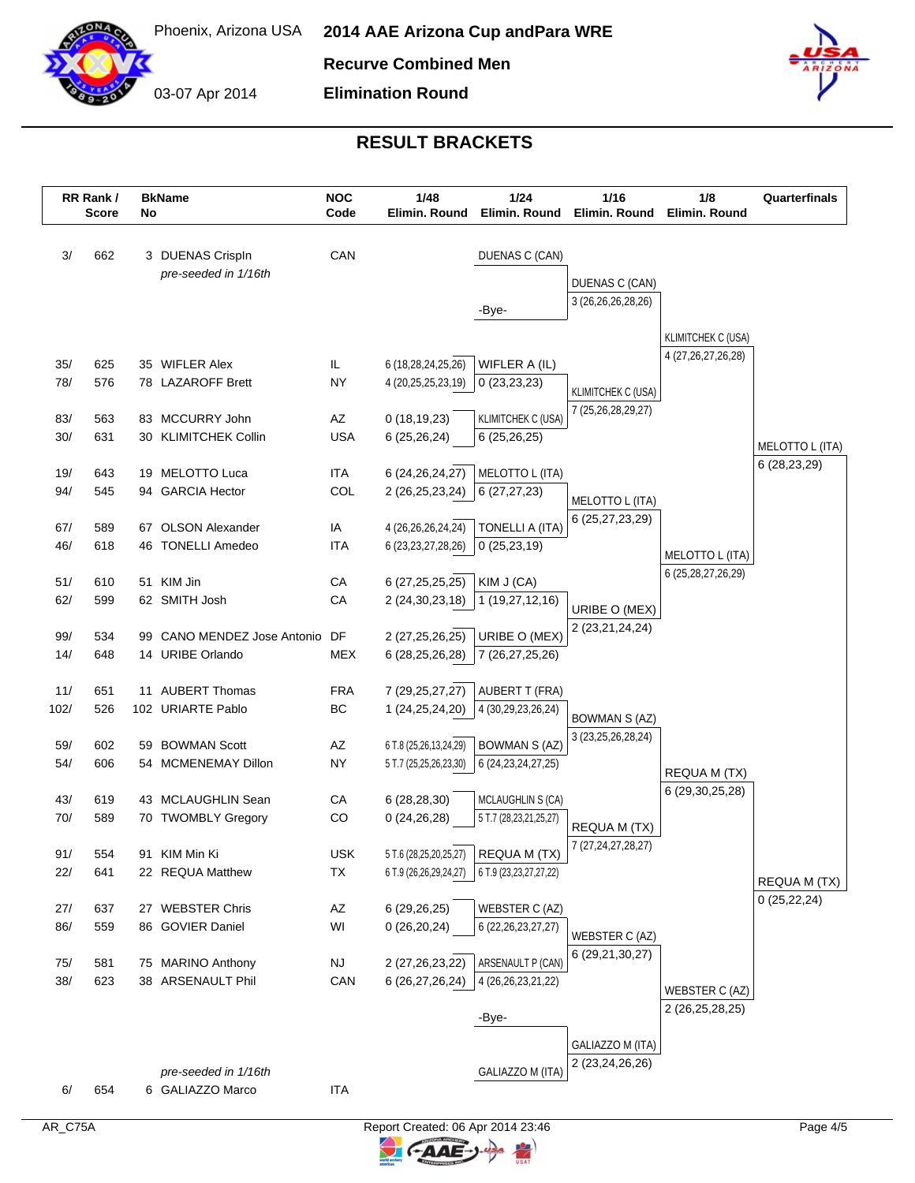

03-07 Apr 2014

**Recurve Combined Men**

**Elimination Round**



|      | RR Rank /<br><b>Score</b> |    | <b>BkName</b><br>No                      |            | <b>NOC</b><br>1/48<br>1/24<br>Code<br>Elimin. Round |                                     | Elimin. Round                        | 1/16<br>Elimin. Round           | 1/8<br>Elimin. Round | Quarterfinals |
|------|---------------------------|----|------------------------------------------|------------|-----------------------------------------------------|-------------------------------------|--------------------------------------|---------------------------------|----------------------|---------------|
| 3/   | 662                       |    | 3 DUENAS Crispln<br>pre-seeded in 1/16th | CAN        |                                                     | DUENAS C (CAN)                      |                                      |                                 |                      |               |
|      |                           |    |                                          |            |                                                     | -Bye-                               | DUENAS C (CAN)<br>3 (26,26,26,28,26) |                                 |                      |               |
|      |                           |    |                                          |            |                                                     |                                     |                                      | <b>KLIMITCHEK C (USA)</b>       |                      |               |
| 35/  | 625                       |    | 35 WIFLER Alex                           | IL         | 6 (18,28,24,25,26)                                  | WIFLER A (IL)                       |                                      | 4 (27, 26, 27, 26, 28)          |                      |               |
| 78/  | 576                       |    | 78 LAZAROFF Brett                        | <b>NY</b>  | 4 (20,25,25,23,19)                                  | 0(23,23,23)                         | KLIMITCHEK C (USA)                   |                                 |                      |               |
| 83/  | 563                       |    | 83 MCCURRY John                          | AZ         | 0(18, 19, 23)                                       | <b>KLIMITCHEK C (USA)</b>           | 7 (25,26,28,29,27)                   |                                 |                      |               |
| 30/  | 631                       |    | 30 KLIMITCHEK Collin                     | <b>USA</b> | 6(25, 26, 24)                                       | 6(25, 26, 25)                       |                                      |                                 | MELOTTO L (ITA)      |               |
| 19/  | 643                       |    | 19 MELOTTO Luca                          | <b>ITA</b> | 6 (24, 26, 24, 27)                                  | MELOTTO L (ITA)                     |                                      |                                 | 6 (28,23,29)         |               |
| 94/  | 545                       |    | 94 GARCIA Hector                         | COL        | 2 (26, 25, 23, 24)                                  | 6(27, 27, 23)                       |                                      |                                 |                      |               |
| 67/  | 589                       | 67 | <b>OLSON Alexander</b>                   | IA         | 4 (26,26,26,24,24)                                  | TONELLI A (ITA)                     | MELOTTO L (ITA)<br>6 (25,27,23,29)   |                                 |                      |               |
| 46/  | 618                       |    | 46 TONELLI Amedeo                        | <b>ITA</b> | 6 (23, 23, 27, 28, 26)                              | 0(25, 23, 19)                       |                                      | MELOTTO L (ITA)                 |                      |               |
| 51/  | 610                       |    | 51 KIM Jin                               | CA         | 6 (27, 25, 25, 25)                                  | KIM J (CA)                          |                                      | 6 (25, 28, 27, 26, 29)          |                      |               |
| 62/  | 599                       |    | 62 SMITH Josh                            | CA         | 2 (24, 30, 23, 18)                                  | 1 (19,27,12,16)                     | URIBE O (MEX)                        |                                 |                      |               |
| 99/  | 534                       | 99 | CANO MENDEZ Jose Antonio                 | DF         | 2 (27, 25, 26, 25)                                  | URIBE O (MEX)                       | 2 (23,21,24,24)                      |                                 |                      |               |
| 14/  | 648                       |    | 14 URIBE Orlando                         | <b>MEX</b> | 6 (28, 25, 26, 28)                                  | 7 (26,27,25,26)                     |                                      |                                 |                      |               |
| 11/  | 651                       |    | 11 AUBERT Thomas                         | <b>FRA</b> | 7 (29, 25, 27, 27)                                  | AUBERT T (FRA)                      |                                      |                                 |                      |               |
| 102/ | 526                       |    | 102 URIARTE Pablo                        | BC         | 1 (24,25,24,20)                                     | 4 (30,29,23,26,24)                  | <b>BOWMAN S (AZ)</b>                 |                                 |                      |               |
| 59/  | 602                       |    | 59 BOWMAN Scott                          | AZ         | 6 T.8 (25,26,13,24,29)                              | <b>BOWMAN S (AZ)</b>                | 3 (23, 25, 26, 28, 24)               |                                 |                      |               |
| 54/  | 606                       |    | 54 MCMENEMAY Dillon                      | <b>NY</b>  | 5 T.7 (25,25,26,23,30)                              | 6 (24, 23, 24, 27, 25)              |                                      |                                 |                      |               |
|      |                           |    |                                          |            |                                                     |                                     |                                      | REQUA M (TX)<br>6 (29,30,25,28) |                      |               |
| 43/  | 619                       |    | 43 MCLAUGHLIN Sean                       | CA         | 6(28, 28, 30)                                       | MCLAUGHLIN S (CA)                   |                                      |                                 |                      |               |
| 70/  | 589                       |    | 70 TWOMBLY Gregory                       | CO         | 0(24,26,28)                                         | 5 T.7 (28,23,21,25,27)              | REQUA M (TX)                         |                                 |                      |               |
| 91/  | 554                       |    | 91 KIM Min Ki                            | <b>USK</b> |                                                     | 5 T.6 (28,25,20,25,27) REQUA M (TX) | 7 (27, 24, 27, 28, 27)               |                                 |                      |               |
| 22/  | 641                       |    | 22 REQUA Matthew                         | TX         | 6 T.9 (26,26,29,24,27)                              | 6 T.9 (23, 23, 27, 27, 22)          |                                      |                                 | REQUA M (TX)         |               |
| 27/  | 637                       |    | 27 WEBSTER Chris                         | AZ         | 6(29,26,25)                                         | WEBSTER C (AZ)                      |                                      |                                 | 0(25, 22, 24)        |               |
| 86/  | 559                       |    | 86 GOVIER Daniel                         | WI         | 0(26,20,24)                                         | 6 (22, 26, 23, 27, 27)              |                                      |                                 |                      |               |
|      |                           |    |                                          |            |                                                     |                                     | WEBSTER C (AZ)<br>6 (29,21,30,27)    |                                 |                      |               |
| 75/  | 581                       |    | 75 MARINO Anthony                        | <b>NJ</b>  | 2 (27, 26, 23, 22)                                  | ARSENAULT P (CAN)                   |                                      |                                 |                      |               |
| 38/  | 623                       |    | 38 ARSENAULT Phil                        | CAN        | 6 (26,27,26,24)                                     | 4 (26, 26, 23, 21, 22)              |                                      | WEBSTER C (AZ)                  |                      |               |
|      |                           |    |                                          |            |                                                     | -Bye-                               |                                      | 2 (26,25,28,25)                 |                      |               |
|      |                           |    |                                          |            |                                                     |                                     | GALIAZZO M (ITA)                     |                                 |                      |               |
|      |                           |    |                                          |            |                                                     |                                     | 2 (23,24,26,26)                      |                                 |                      |               |
|      |                           |    | pre-seeded in 1/16th                     |            |                                                     | GALIAZZO M (ITA)                    |                                      |                                 |                      |               |
| 6/   | 654                       |    | 6 GALIAZZO Marco                         | ITA        |                                                     |                                     |                                      |                                 |                      |               |